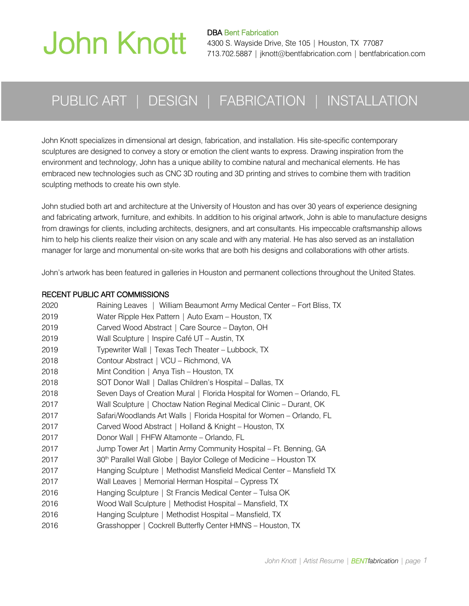# John Knott

DBA Bent Fabrication 4300 S. Wayside Drive, Ste 105 | Houston, TX 77087 713.702.5887 | jknott@bentfabrication.com | bentfabrication.com

### PUBLIC ART | DESIGN | FABRICATION | INSTALLATION

John Knott specializes in dimensional art design, fabrication, and installation. His site-specific contemporary sculptures are designed to convey a story or emotion the client wants to express. Drawing inspiration from the environment and technology, John has a unique ability to combine natural and mechanical elements. He has embraced new technologies such as CNC 3D routing and 3D printing and strives to combine them with tradition sculpting methods to create his own style.

John studied both art and architecture at the University of Houston and has over 30 years of experience designing and fabricating artwork, furniture, and exhibits. In addition to his original artwork, John is able to manufacture designs from drawings for clients, including architects, designers, and art consultants. His impeccable craftsmanship allows him to help his clients realize their vision on any scale and with any material. He has also served as an installation manager for large and monumental on-site works that are both his designs and collaborations with other artists.

John's artwork has been featured in galleries in Houston and permanent collections throughout the United States.

#### RECENT PUBLIC ART COMMISSIONS

| Water Ripple Hex Pattern   Auto Exam - Houston, TX<br>2019                      |  |
|---------------------------------------------------------------------------------|--|
| 2019<br>Carved Wood Abstract   Care Source - Dayton, OH                         |  |
| 2019<br>Wall Sculpture   Inspire Café UT - Austin, TX                           |  |
| 2019<br>Typewriter Wall   Texas Tech Theater - Lubbock, TX                      |  |
| 2018<br>Contour Abstract   VCU - Richmond, VA                                   |  |
| 2018<br>Mint Condition   Anya Tish - Houston, TX                                |  |
| 2018<br>SOT Donor Wall   Dallas Children's Hospital - Dallas, TX                |  |
| 2018<br>Seven Days of Creation Mural   Florida Hospital for Women - Orlando, FL |  |
| 2017<br>Wall Sculpture   Choctaw Nation Reginal Medical Clinic - Durant, OK     |  |
| 2017<br>Safari/Woodlands Art Walls   Florida Hospital for Women - Orlando, FL   |  |
| Carved Wood Abstract   Holland & Knight - Houston, TX<br>2017                   |  |
| 2017<br>Donor Wall   FHFW Altamonte - Orlando, FL                               |  |
| Jump Tower Art   Martin Army Community Hospital - Ft. Benning, GA<br>2017       |  |
| 30th Parallel Wall Globe   Baylor College of Medicine - Houston TX<br>2017      |  |
| Hanging Sculpture   Methodist Mansfield Medical Center - Mansfield TX<br>2017   |  |
| 2017<br>Wall Leaves   Memorial Herman Hospital - Cypress TX                     |  |
| 2016<br>Hanging Sculpture   St Francis Medical Center – Tulsa OK                |  |
| 2016<br>Wood Wall Sculpture   Methodist Hospital - Mansfield, TX                |  |
| 2016<br>Hanging Sculpture   Methodist Hospital - Mansfield, TX                  |  |
| Grasshopper   Cockrell Butterfly Center HMNS - Houston, TX<br>2016              |  |